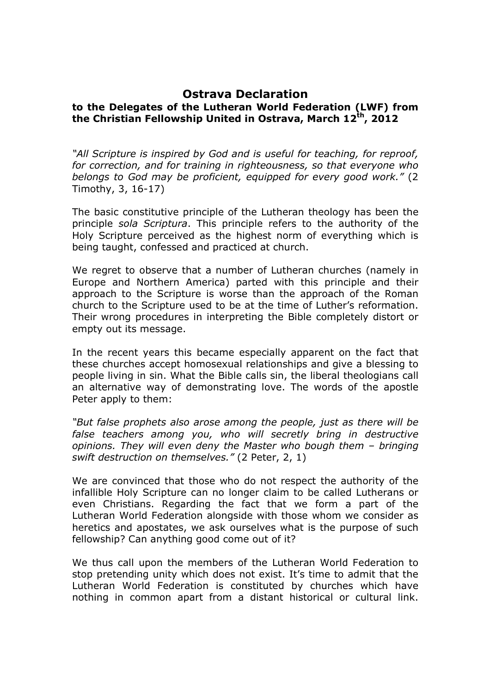## **Ostrava Declaration**

## **to the Delegates of the Lutheran World Federation (LWF) from the Christian Fellowship United in Ostrava, March 12 th, 2012**

*"All Scripture is inspired by God and is useful for teaching, for reproof, for correction, and for training in righteousness, so that everyone who belongs to God may be proficient, equipped for every good work."* (2 Timothy, 3, 16-17)

The basic constitutive principle of the Lutheran theology has been the principle *sola Scriptura*. This principle refers to the authority of the Holy Scripture perceived as the highest norm of everything which is being taught, confessed and practiced at church.

We regret to observe that a number of Lutheran churches (namely in Europe and Northern America) parted with this principle and their approach to the Scripture is worse than the approach of the Roman church to the Scripture used to be at the time of Luther's reformation. Their wrong procedures in interpreting the Bible completely distort or empty out its message.

In the recent years this became especially apparent on the fact that these churches accept homosexual relationships and give a blessing to people living in sin. What the Bible calls sin, the liberal theologians call an alternative way of demonstrating love. The words of the apostle Peter apply to them:

*"But false prophets also arose among the people, just as there will be false teachers among you, who will secretly bring in destructive opinions. They will even deny the Master who bough them – bringing swift destruction on themselves."* (2 Peter, 2, 1)

We are convinced that those who do not respect the authority of the infallible Holy Scripture can no longer claim to be called Lutherans or even Christians. Regarding the fact that we form a part of the Lutheran World Federation alongside with those whom we consider as heretics and apostates, we ask ourselves what is the purpose of such fellowship? Can anything good come out of it?

We thus call upon the members of the Lutheran World Federation to stop pretending unity which does not exist. It's time to admit that the Lutheran World Federation is constituted by churches which have nothing in common apart from a distant historical or cultural link.